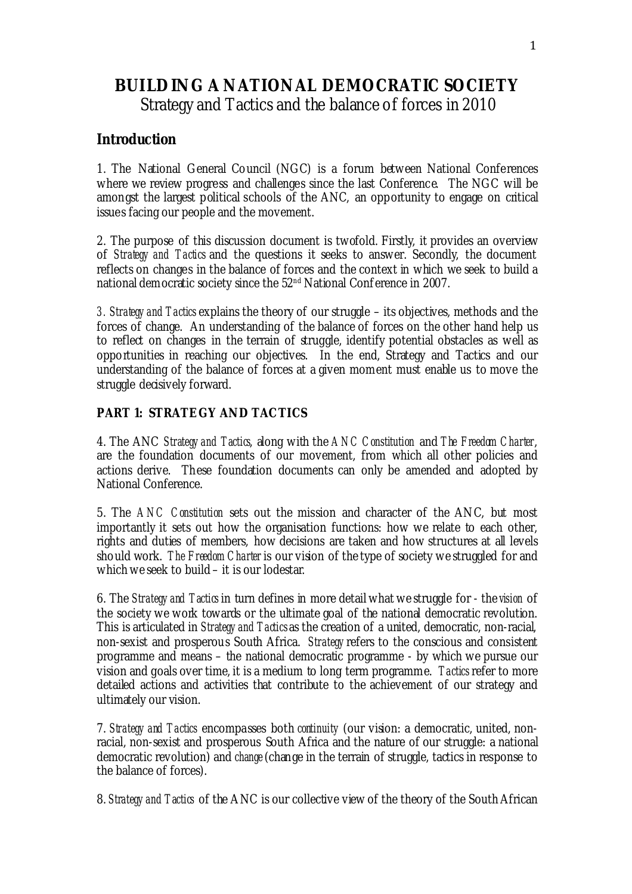# **BUILDING A NATIONAL DEMOCRATIC SOCIETY**

Strategy and Tactics and the balance of forces in 2010

# **Introduction**

1. The National General Council (NGC) is a forum between National Conferences where we review progress and challenges since the last Conference. The NGC will be amongst the largest political schools of the ANC, an opportunity to engage on critical issues facing our people and the movement.

2. The purpose of this discussion document is twofold. Firstly, it provides an overview of *Strategy and Tactics* and the questions it seeks to answer. Secondly, the document reflects on changes in the balance of forces and the context in which we seek to build a national democratic society since the 52<sup>nd</sup> National Conference in 2007.

*3. Strategy and Tactics* explains the theory of our struggle – its objectives, methods and the forces of change. An understanding of the balance of forces on the other hand help us to reflect on changes in the terrain of struggle, identify potential obstacles as well as opportunities in reaching our objectives. In the end, Strategy and Tactics and our understanding of the balance of forces at a given moment must enable us to move the struggle decisively forward.

# **PART 1: STRATEGY AND TACTICS**

4. The ANC *Strategy and Tactics*, along with the *ANC Constitution* and *The Freedom Charter*, are the foundation documents of our movement, from which all other policies and actions derive. These foundation documents can only be amended and adopted by National Conference.

5. The *ANC Constitution* sets out the mission and character of the ANC, but most importantly it sets out how the organisation functions: how we relate to each other, rights and duties of members, how decisions are taken and how structures at all levels should work. *The Freedom Charter* is our vision of the type of society we struggled for and which we seek to build – it is our lodestar.

6. The *Strategy and Tactics* in turn defines in more detail what we struggle for - the *vision* of the society we work towards or the ultimate goal of the national democratic revolution. This is articulated in *Strategy and Tactics* as the creation of a united, democratic, non-racial, non-sexist and prosperous South Africa. *Strategy* refers to the conscious and consistent programme and means – the national democratic programme - by which we pursue our vision and goals over time, it is a medium to long term programme. *Tactics* refer to more detailed actions and activities that contribute to the achievement of our strategy and ultimately our vision.

7. *Strategy and Tactics* encompasses both *continuity* (our vision: a democratic, united, nonracial, non-sexist and prosperous South Africa and the nature of our struggle: a national democratic revolution) and *change* (change in the terrain of struggle, tactics in response to the balance of forces).

8. *Strategy and Tactics* of the ANC is our collective view of the theory of the South African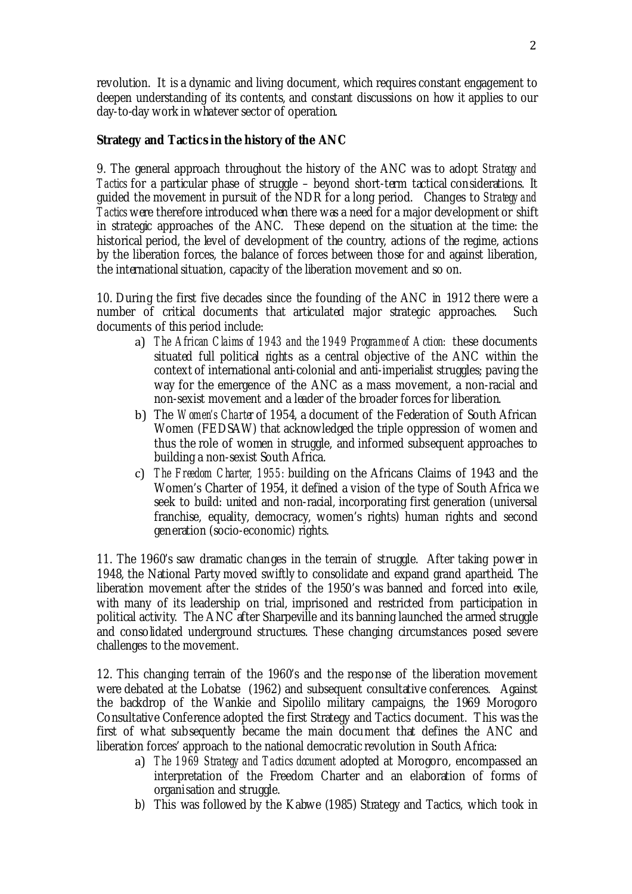revolution. It is a dynamic and living document, which requires constant engagement to deepen understanding of its contents, and constant discussions on how it applies to our day-to-day work in whatever sector of operation.

## **Strategy and Tactics in the history of the ANC**

9. The general approach throughout the history of the ANC was to adopt *Strategy and Tactics* for a particular phase of struggle – beyond short-term tactical considerations. It guided the movement in pursuit of the NDR for a long period. Changes to *Strategy and Tactics* were therefore introduced when there was a need for a major development or shift in strategic approaches of the ANC. These depend on the situation at the time: the historical period, the level of development of the country, actions of the regime, actions by the liberation forces, the balance of forces between those for and against liberation, the international situation, capacity of the liberation movement and so on.

10. During the first five decades since the founding of the ANC in 1912 there were a number of critical documents that articulated major strategic approaches. Such documents of this period include:

- a) *The African Claims of 1943 and the 1949 Programme of Action:* these documents situated full political rights as a central objective of the ANC within the context of international anti-colonial and anti-imperialist struggles; paving the way for the emergence of the ANC as a mass movement, a non-racial and non-sexist movement and a leader of the broader forces for liberation.
- b) The *Women's Charter* of 1954, a document of the Federation of South African Women (FEDSAW) that acknowledged the triple oppression of women and thus the role of women in struggle, and informed subsequent approaches to building a non-sexist South Africa.
- c) *The Freedom Charter, 1955:* building on the Africans Claims of 1943 and the Women's Charter of 1954, it defined a vision of the type of South Africa we seek to build: united and non-racial, incorporating first generation (universal franchise, equality, democracy, women's rights) human rights and second generation (socio-economic) rights.

11. The 1960's saw dramatic changes in the terrain of struggle. After taking power in 1948, the National Party moved swiftly to consolidate and expand grand apartheid. The liberation movement after the strides of the 1950's was banned and forced into exile, with many of its leadership on trial, imprisoned and restricted from participation in political activity. The ANC after Sharpeville and its banning launched the armed struggle and consolidated underground structures. These changing circumstances posed severe challenges to the movement.

12. This changing terrain of the 1960's and the response of the liberation movement were debated at the Lobatse (1962) and subsequent consultative conferences. Against the backdrop of the Wankie and Sipolilo military campaigns, the 1969 Morogoro Consultative Conference adopted the first Strategy and Tactics document. This was the first of what subsequently became the main document that defines the ANC and liberation forces' approach to the national democratic revolution in South Africa:

- a) *The 1969 Strategy and Tactics document* adopted at Morogoro, encompassed an interpretation of the Freedom Charter and an elaboration of forms of organisation and struggle.
- b) This was followed by the Kabwe (1985) Strategy and Tactics, which took in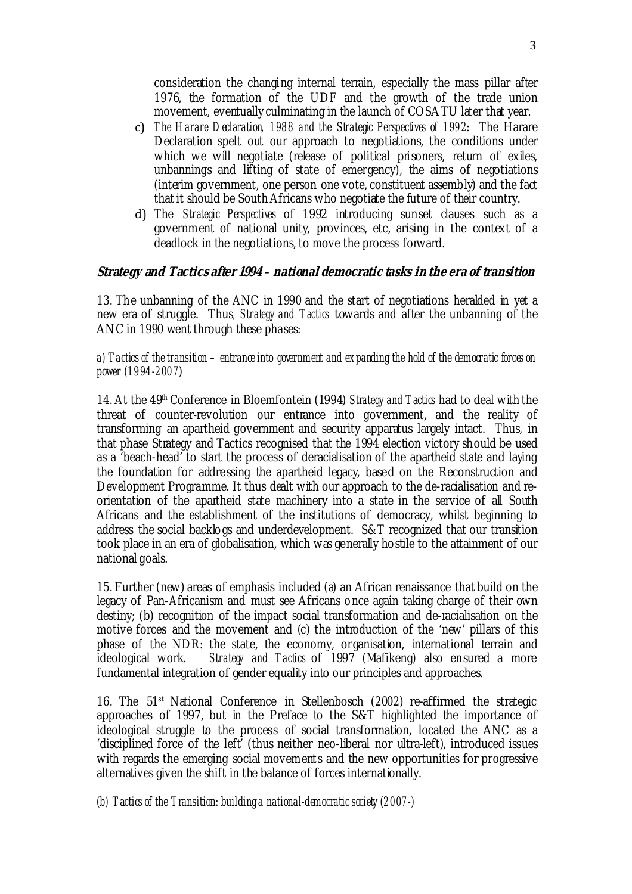consideration the changing internal terrain, especially the mass pillar after 1976, the formation of the UDF and the growth of the trade union movement, eventually culminating in the launch of COSATU later that year.

- c) *The Harare Declaration, 1988 and the Strategic Perspectives of 1992*: The Harare Declaration spelt out our approach to negotiations, the conditions under which we will negotiate (release of political prisoners, return of exiles, unbannings and lifting of state of emergency), the aims of negotiations (interim government, one person one vote, constituent assembly) and the fact that it should be South Africans who negotiate the future of their country.
- d) The *Strategic Perspectives* of 1992 introducing sunset clauses such as a government of national unity, provinces, etc, arising in the context of a deadlock in the negotiations, to move the process forward.

#### **Strategy and Tactics after 1994 – national democratic tasks in the era of transition**

13. The unbanning of the ANC in 1990 and the start of negotiations heralded in yet a new era of struggle. Thus*, Strategy and Tactics* towards and after the unbanning of the ANC in 1990 went through these phases:

*a) Tactics of the transition – entrance into government and expanding the hold of the democratic forces on power (1994-2007*)

14. At the 49th Conference in Bloemfontein (1994) *Strategy and Tactics* had to deal with the threat of counter-revolution our entrance into government, and the reality of transforming an apartheid government and security apparatus largely intact. Thus, in that phase Strategy and Tactics recognised that the 1994 election victory should be used as a 'beach-head' to start the process of deracialisation of the apartheid state and laying the foundation for addressing the apartheid legacy, based on the Reconstruction and Development Programme. It thus dealt with our approach to the de-racialisation and reorientation of the apartheid state machinery into a state in the service of all South Africans and the establishment of the institutions of democracy, whilst beginning to address the social backlogs and underdevelopment. S&T recognized that our transition took place in an era of globalisation, which was generally hostile to the attainment of our national goals.

15. Further (new) areas of emphasis included (a) an African renaissance that build on the legacy of Pan-Africanism and must see Africans once again taking charge of their own destiny; (b) recognition of the impact social transformation and de-racialisation on the motive forces and the movement and (c) the introduction of the 'new' pillars of this phase of the NDR: the state, the economy, organisation, international terrain and ideological work. *Strategy and Tactics* of 1997 (Mafikeng) also ensured a more fundamental integration of gender equality into our principles and approaches.

16. The 51st National Conference in Stellenbosch (2002) re-affirmed the strategic approaches of 1997, but in the Preface to the  $S&T$  highlighted the importance of ideological struggle to the process of social transformation, located the ANC as a 'disciplined force of the left' (thus neither neo-liberal nor ultra-left), introduced issues with regards the emerging social movements and the new opportunities for progressive alternatives given the shift in the balance of forces internationally.

*(b) Tactics of the Transition: building a national-democratic society (2007-)*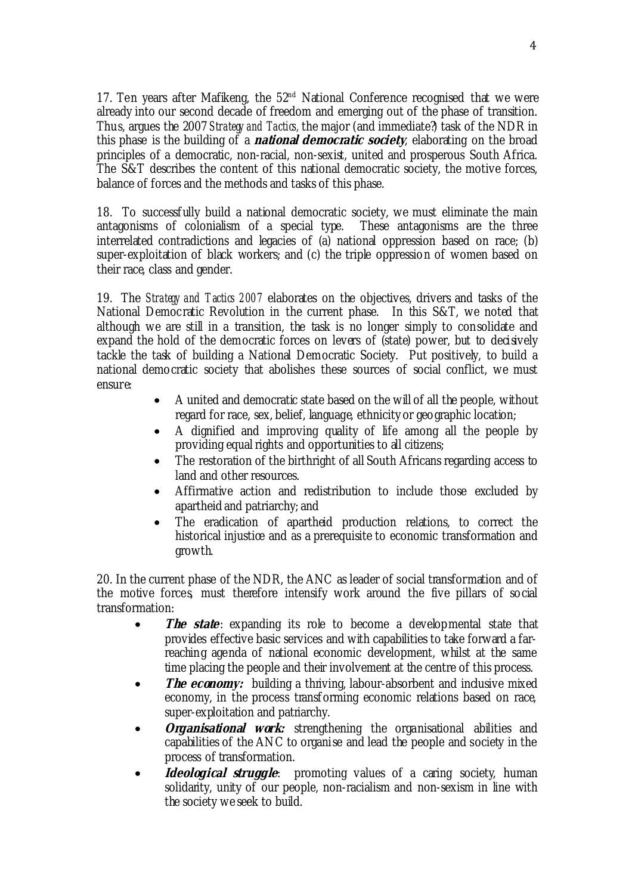17. Ten years after Mafikeng, the  $52<sup>nd</sup>$  National Conference recognised that we were already into our second decade of freedom and emerging out of the phase of transition. Thus, argues the 2007 *Strategy and Tactics,* the major (and immediate?) task of the NDR in this phase is the building of a **national democratic society**, elaborating on the broad principles of a democratic, non-racial, non-sexist, united and prosperous South Africa. The S&T describes the content of this national democratic society, the motive forces, balance of forces and the methods and tasks of this phase.

18. To successfully build a national democratic society, we must eliminate the main antagonisms of colonialism of a special type. These antagonisms are the three interrelated contradictions and legacies of (a) national oppression based on race; (b) super-exploitation of black workers; and (c) the triple oppression of women based on their race, class and gender.

19. The *Strategy and Tactics 2007* elaborates on the objectives, drivers and tasks of the National Democratic Revolution in the current phase. In this S&T, we noted that although we are still in a transition, the task is no longer simply to consolidate and expand the hold of the democratic forces on levers of (state) power, but to decisively tackle the task of building a National Democratic Society. Put positively, to build a national democratic society that abolishes these sources of social conflict, we must ensure:

- A united and democratic state based on the will of all the people, without regard for race, sex, belief, language, ethnicity or geographic location;
- A dignified and improving quality of life among all the people by providing equal rights and opportunities to all citizens;
- The restoration of the birthright of all South Africans regarding access to land and other resources.
- Affirmative action and redistribution to include those excluded by apartheid and patriarchy; and
- The eradication of apartheid production relations, to correct the historical injustice and as a prerequisite to economic transformation and growth.

20. In the current phase of the NDR, the ANC as leader of social transformation and of the motive forces, must therefore intensify work around the five pillars of social transformation:

- **The state**: expanding its role to become a developmental state that provides effective basic services and with capabilities to take forward a farreaching agenda of national economic development, whilst at the same time placing the people and their involvement at the centre of this process.
- *The economy:* building a thriving, labour-absorbent and inclusive mixed economy, in the process transforming economic relations based on race, super-exploitation and patriarchy.
- *Organisational work:* strengthening the organisational abilities and capabilities of the ANC to organise and lead the people and society in the process of transformation.
- **Ideological struggle**: promoting values of a caring society, human solidarity, unity of our people, non-racialism and non-sexism in line with the society we seek to build.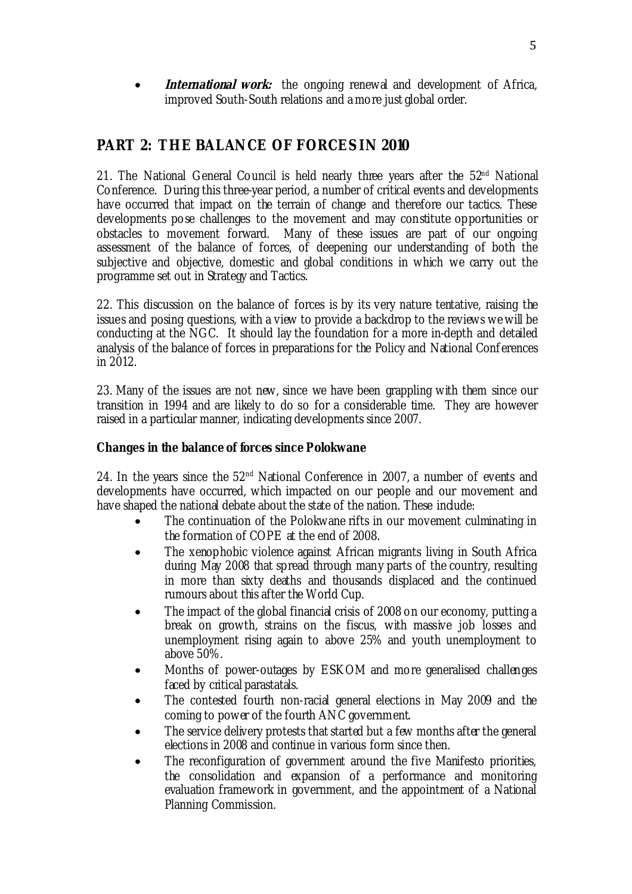• **International work:** the ongoing renewal and development of Africa, improved South-South relations and a more just global order.

# **PART 2: THE BALANCE OF FORCES IN 2010**

21. The National General Council is held nearly three years after the  $52<sup>nd</sup>$  National Conference. During this three-year period, a number of critical events and developments have occurred that impact on the terrain of change and therefore our tactics. These developments pose challenges to the movement and may constitute opportunities or obstacles to movement forward. Many of these issues are part of our ongoing assessment of the balance of forces, of deepening our understanding of both the subjective and objective, domestic and global conditions in which we carry out the programme set out in Strategy and Tactics.

22. This discussion on the balance of forces is by its very nature tentative, raising the issues and posing questions, with a view to provide a backdrop to the reviews we will be conducting at the NGC. It should lay the foundation for a more in-depth and detailed analysis of the balance of forces in preparations for the Policy and National Conferences in 2012.

23. Many of the issues are not new, since we have been grappling with them since our transition in 1994 and are likely to do so for a considerable time. They are however raised in a particular manner, indicating developments since 2007.

#### **Changes in the balance of forces since Polokwane**

24. In the years since the  $52<sup>nd</sup>$  National Conference in 2007, a number of events and developments have occurred, which impacted on our people and our movement and have shaped the national debate about the state of the nation. These include:

- The continuation of the Polokwane rifts in our movement culminating in the formation of COPE at the end of 2008.
- The xenophobic violence against African migrants living in South Africa during May 2008 that spread through many parts of the country, resulting in more than sixty deaths and thousands displaced and the continued rumours about this after the World Cup.
- The impact of the global financial crisis of 2008 on our economy, putting a break on growth, strains on the fiscus, with massive job losses and unemployment rising again to above 25% and youth unemployment to above 50%.
- Months of power-outages by ESKOM and more generalised challenges faced by critical parastatals.
- The contested fourth non-racial general elections in May 2009 and the coming to power of the fourth ANC government.
- The service delivery protests that started but a few months after the general elections in 2008 and continue in various form since then.
- The reconfiguration of government around the five Manifesto priorities, the consolidation and expansion of a performance and monitoring evaluation framework in government, and the appointment of a National Planning Commission.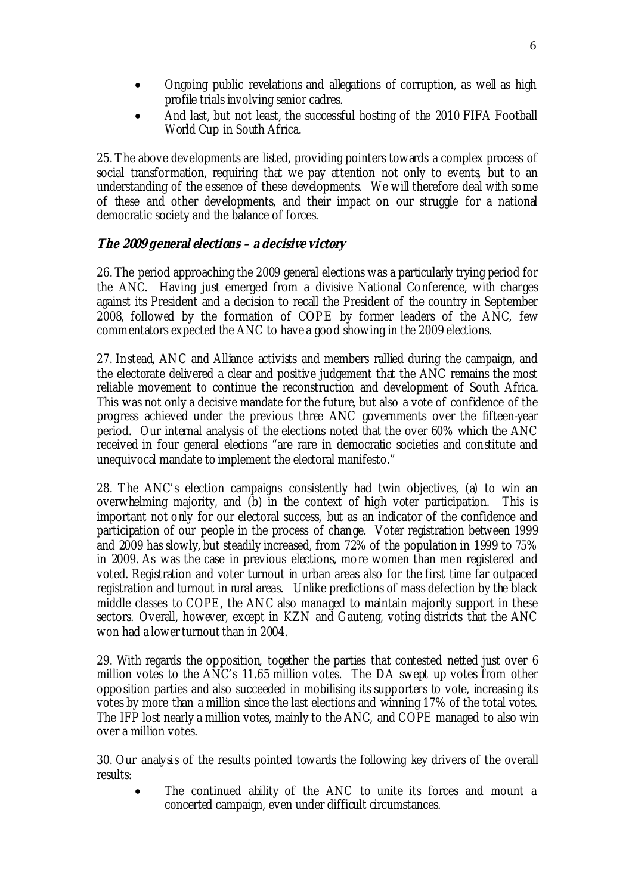- Ongoing public revelations and allegations of corruption, as well as high profile trials involving senior cadres.
- And last, but not least, the successful hosting of the 2010 FIFA Football World Cup in South Africa.

25. The above developments are listed, providing pointers towards a complex process of social transformation, requiring that we pay attention not only to events, but to an understanding of the essence of these developments. We will therefore deal with some of these and other developments, and their impact on our struggle for a national democratic society and the balance of forces.

# **The 2009 general elections – a decisive victory**

26. The period approaching the 2009 general elections was a particularly trying period for the ANC. Having just emerged from a divisive National Conference, with charges against its President and a decision to recall the President of the country in September 2008, followed by the formation of COPE by former leaders of the ANC, few commentators expected the ANC to have a good showing in the 2009 elections.

27. Instead, ANC and Alliance activists and members rallied during the campaign, and the electorate delivered a clear and positive judgement that the ANC remains the most reliable movement to continue the reconstruction and development of South Africa. This was not only a decisive mandate for the future, but also a vote of confidence of the progress achieved under the previous three ANC governments over the fifteen-year period. Our internal analysis of the elections noted that the over 60% which the ANC received in four general elections "are rare in democratic societies and constitute and unequivocal mandate to implement the electoral manifesto."

28. The ANC's election campaigns consistently had twin objectives, (a) to win an overwhelming majority, and (b) in the context of high voter participation. This is important not only for our electoral success, but as an indicator of the confidence and participation of our people in the process of change. Voter registration between 1999 and 2009 has slowly, but steadily increased, from 72% of the population in 1999 to 75% in 2009. As was the case in previous elections, more women than men registered and voted. Registration and voter turnout in urban areas also for the first time far outpaced registration and turnout in rural areas. Unlike predictions of mass defection by the black middle classes to COPE, the ANC also managed to maintain majority support in these sectors. Overall, however, except in KZN and Gauteng, voting districts that the ANC won had a lower turnout than in 2004.

29. With regards the opposition, together the parties that contested netted just over 6 million votes to the ANC's 11.65 million votes. The DA swept up votes from other opposition parties and also succeeded in mobilising its supporters to vote, increasing its votes by more than a million since the last elections and winning 17% of the total votes. The IFP lost nearly a million votes, mainly to the ANC, and COPE managed to also win over a million votes.

30. Our analysis of the results pointed towards the following key drivers of the overall results:

• The continued ability of the ANC to unite its forces and mount a concerted campaign, even under difficult circumstances.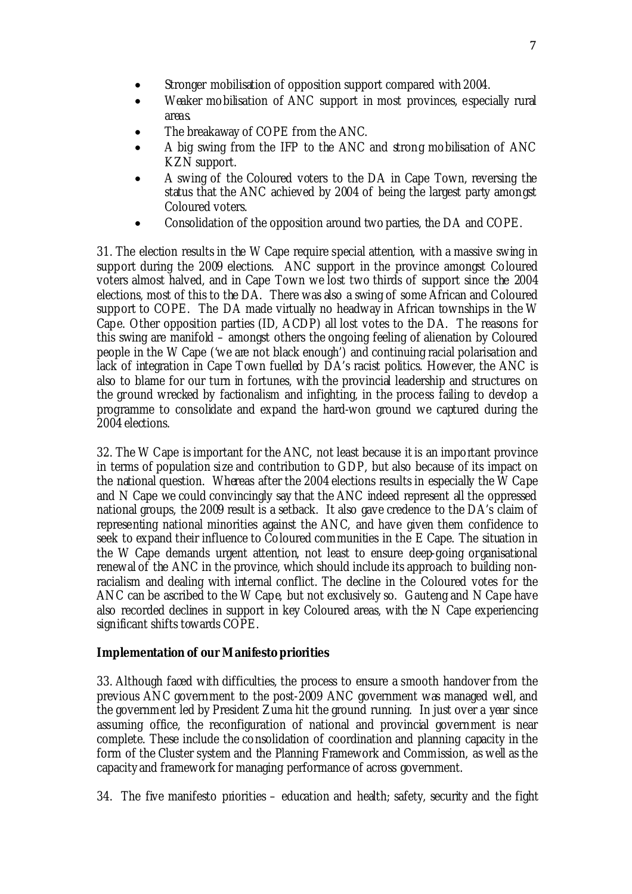- Stronger mobilisation of opposition support compared with 2004.
- Weaker mobilisation of ANC support in most provinces, especially rural areas.
- The breakaway of COPE from the ANC.
- A big swing from the IFP to the ANC and strong mobilisation of ANC KZN support.
- A swing of the Coloured voters to the DA in Cape Town, reversing the status that the ANC achieved by 2004 of being the largest party amongst Coloured voters.
- Consolidation of the opposition around two parties, the DA and COPE.

31. The election results in the W Cape require special attention, with a massive swing in support during the 2009 elections. ANC support in the province amongst Coloured voters almost halved, and in Cape Town we lost two thirds of support since the 2004 elections, most of this to the DA. There was also a swing of some African and Coloured support to COPE. The DA made virtually no headway in African townships in the W Cape. Other opposition parties (ID, ACDP) all lost votes to the DA. The reasons for this swing are manifold – amongst others the ongoing feeling of alienation by Coloured people in the W Cape ('we are not black enough') and continuing racial polarisation and lack of integration in Cape Town fuelled by DA's racist politics. However, the ANC is also to blame for our turn in fortunes, with the provincial leadership and structures on the ground wrecked by factionalism and infighting, in the process failing to develop a programme to consolidate and expand the hard-won ground we captured during the 2004 elections.

32. The W Cape is important for the ANC, not least because it is an important province in terms of population size and contribution to GDP, but also because of its impact on the national question. Whereas after the 2004 elections results in especially the W Cape and N Cape we could convincingly say that the ANC indeed represent all the oppressed national groups, the 2009 result is a setback. It also gave credence to the DA's claim of representing national minorities against the ANC, and have given them confidence to seek to expand their influence to Coloured communities in the E Cape. The situation in the W Cape demands urgent attention, not least to ensure deep-going organisational renewal of the ANC in the province, which should include its approach to building nonracialism and dealing with internal conflict. The decline in the Coloured votes for the ANC can be ascribed to the W Cape, but not exclusively so. Gauteng and N Cape have also recorded declines in support in key Coloured areas, with the N Cape experiencing significant shifts towards COPE.

#### **Implementation of our Manifesto priorities**

33. Although faced with difficulties, the process to ensure a smooth handover from the previous ANC government to the post-2009 ANC government was managed well, and the government led by President Zuma hit the ground running. In just over a year since assuming office, the reconfiguration of national and provincial government is near complete. These include the consolidation of coordination and planning capacity in the form of the Cluster system and the Planning Framework and Commission, as well as the capacity and framework for managing performance of across government.

34. The five manifesto priorities – education and health; safety, security and the fight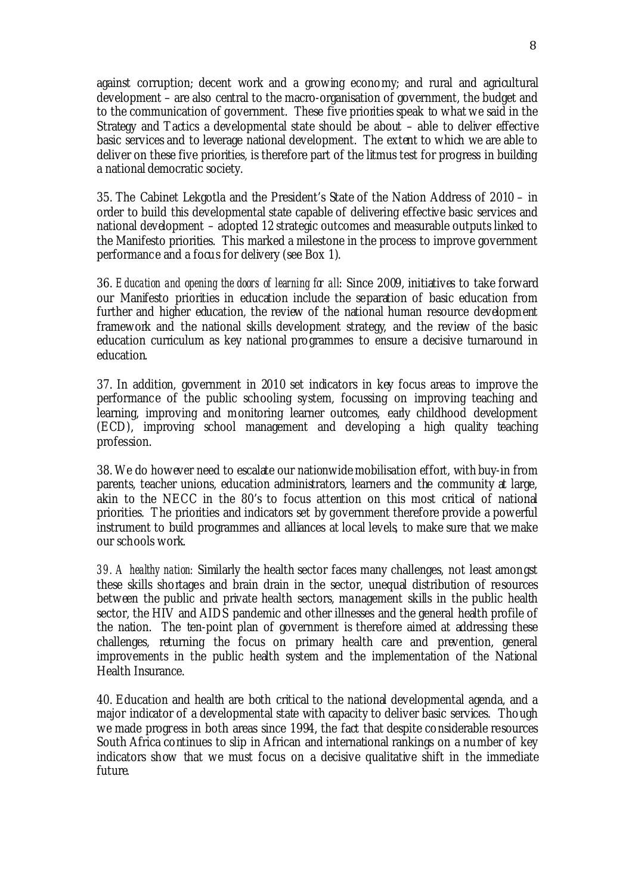against corruption; decent work and a growing economy; and rural and agricultural development – are also central to the macro-organisation of government, the budget and to the communication of government. These five priorities speak to what we said in the Strategy and Tactics a developmental state should be about – able to deliver effective basic services and to leverage national development. The extent to which we are able to deliver on these five priorities, is therefore part of the litmus test for progress in building a national democratic society.

35. The Cabinet Lekgotla and the President's State of the Nation Address of 2010 – in order to build this developmental state capable of delivering effective basic services and national development – adopted 12 strategic outcomes and measurable outputs linked to the Manifesto priorities. This marked a milestone in the process to improve government performance and a focus for delivery (see Box 1).

36. *Education and opening the doors of learning for all*: Since 2009, initiatives to take forward our Manifesto priorities in education include the separation of basic education from further and higher education, the review of the national human resource development framework and the national skills development strategy, and the review of the basic education curriculum as key national programmes to ensure a decisive turnaround in education.

37. In addition, government in 2010 set indicators in key focus areas to improve the performance of the public schooling system, focussing on improving teaching and learning, improving and monitoring learner outcomes, early childhood development (ECD), improving school management and developing a high quality teaching profession.

38. We do however need to escalate our nationwide mobilisation effort, with buy-in from parents, teacher unions, education administrators, learners and the community at large, akin to the NECC in the 80's to focus attention on this most critical of national priorities. The priorities and indicators set by government therefore provide a powerful instrument to build programmes and alliances at local levels, to make sure that we make our schools work.

*39. A healthy nation:* Similarly the health sector faces many challenges, not least amongst these skills shortages and brain drain in the sector, unequal distribution of resources between the public and private health sectors, management skills in the public health sector, the HIV and AIDS pandemic and other illnesses and the general health profile of the nation. The ten-point plan of government is therefore aimed at addressing these challenges, returning the focus on primary health care and prevention, general improvements in the public health system and the implementation of the National Health Insurance.

40. Education and health are both critical to the national developmental agenda, and a major indicator of a developmental state with capacity to deliver basic services. Though we made progress in both areas since 1994, the fact that despite considerable resources South Africa continues to slip in African and international rankings on a number of key indicators show that we must focus on a decisive qualitative shift in the immediate future.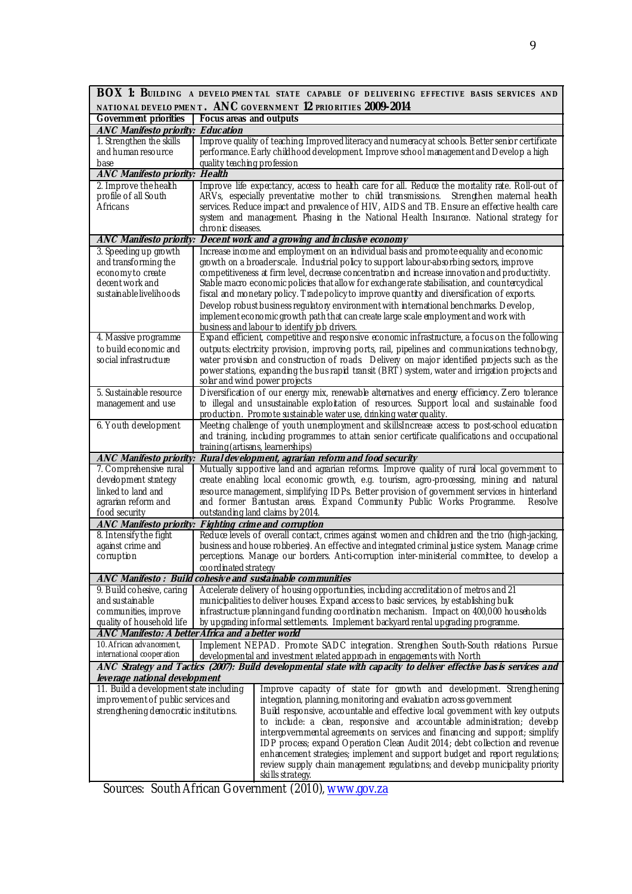| BOX 1: BUILDING A DEVELOPMENTAL STATE CAPABLE OF DELIVERING EFFECTIVE BASIS SERVICES AND                          |                                                                                                                                                                                               |
|-------------------------------------------------------------------------------------------------------------------|-----------------------------------------------------------------------------------------------------------------------------------------------------------------------------------------------|
|                                                                                                                   | NATIONAL DEVELO PMENT. ANC GOVERNMENT 12 PRIORITIES 2009-2014                                                                                                                                 |
| <b>Government priorities</b>                                                                                      | Focus areas and outputs                                                                                                                                                                       |
| <b>ANC Manifesto priority: Education</b>                                                                          |                                                                                                                                                                                               |
| 1. Strengthen the skills<br>and human resource                                                                    | Improve quality of teaching Improved literacy and numeracy at schools. Better senior certificate<br>performance. Early childhood development. Improve school management and Develop a high    |
| base                                                                                                              | quality teaching profession                                                                                                                                                                   |
| <b>ANC Manifesto priority: Health</b>                                                                             |                                                                                                                                                                                               |
| 2. Improve the health                                                                                             | Improve life expectancy, access to health care for all. Reduce the mortality rate. Roll-out of                                                                                                |
| profile of all South                                                                                              | ARVs, especially preventative mother to child transmissions. Strengthen maternal health                                                                                                       |
| Africans                                                                                                          | services. Reduce impact and prevalence of HIV, AIDS and TB. Ensure an effective health care                                                                                                   |
|                                                                                                                   | system and management. Phasing in the National Health Insurance. National strategy for                                                                                                        |
|                                                                                                                   | chronic diseases.                                                                                                                                                                             |
|                                                                                                                   | ANC Manifesto priority: Decent work and a growing and inclusive economy                                                                                                                       |
| 3. Speeding up growth                                                                                             | Increase income and employment on an individual basis and promote equality and economic                                                                                                       |
| and transforming the                                                                                              | growth on a broaderscale. Industrial policy to support labour-absorbing sectors, improve                                                                                                      |
| economy to create<br>decent work and                                                                              | competitiveness at firm level, decrease concentration and increase innovation and productivity.                                                                                               |
| sustainable livelihoods                                                                                           | Stable macro economic policies that allow for exchange rate stabilisation, and countercydical<br>fiscal and monetary policy. Trade policy to improve quantity and diversification of exports. |
|                                                                                                                   | Develop robust business regulatory environment with international benchmarks. Develop,                                                                                                        |
|                                                                                                                   | implement economic growth path that can create large scale employment and work with                                                                                                           |
|                                                                                                                   | business and labour to identify job drivers.                                                                                                                                                  |
| 4. Massive programme                                                                                              | Expand efficient, competitive and responsive economic infrastructure, a focus on the following                                                                                                |
| to build economic and                                                                                             | outputs: electricity provision, improving ports, rail, pipelines and communications technology,                                                                                               |
| social infrastructure                                                                                             | water provision and construction of roads Delivery on major identified projects such as the                                                                                                   |
|                                                                                                                   | power stations, expanding the bus rapid transit (BRT) system, water and irrigation projects and                                                                                               |
|                                                                                                                   | solar and wind power projects                                                                                                                                                                 |
| 5. Sustainable resource                                                                                           | Diversification of our energy mix, renewable alternatives and energy efficiency. Zero tolerance                                                                                               |
| management and use                                                                                                | to illegal and unsustainable exploitation of resources. Support local and sustainable food                                                                                                    |
| 6. Youth development                                                                                              | production. Promote sustainable water use, drinking water quality.<br>Meeting challenge of youth unemployment and skillsIncrease access to post-school education                              |
|                                                                                                                   | and training, including programmes to attain senior certificate qualifications and occupational                                                                                               |
|                                                                                                                   | training (artisans, learnerships)                                                                                                                                                             |
| Rural development, agrarian reform and food security<br>ANC Manifesto priority:                                   |                                                                                                                                                                                               |
| 7. Comprehensive rural                                                                                            | Mutually supportive land and agrarian reforms. Improve quality of rural local government to                                                                                                   |
| development strategy                                                                                              | create enabling local economic growth, e.g. tourism, agro-processing, mining and natural                                                                                                      |
| linked to land and                                                                                                | resource management, simplifying IDPs. Better provision of government services in hinterland                                                                                                  |
| agrarian reform and                                                                                               | and former Bantustan areas. Expand Community Public Works Programme.<br>Resolve                                                                                                               |
| food security                                                                                                     | outstanding land claims by 2014.                                                                                                                                                              |
|                                                                                                                   | ANC Manifesto priority: Fighting crime and corruption                                                                                                                                         |
| 8. Intensify the fight                                                                                            | Reduce levels of overall contact, crimes against women and children and the trio (high-jacking,                                                                                               |
| against crime and<br>corruption                                                                                   | business and house robberies). An effective and integrated criminal justice system Manage crime<br>perceptions. Manage our borders. Anti-corruption inter-ministerial committee, to develop a |
|                                                                                                                   | coordinated strategy                                                                                                                                                                          |
|                                                                                                                   | <b>ANC Manifesto: Build cohesive and sustainable communities</b>                                                                                                                              |
| 9. Build cohesive, caring                                                                                         | Accelerate delivery of housing opportunities, including accreditation of metros and 21                                                                                                        |
| and sustainable                                                                                                   | municipalities to deliver houses. Expand access to basic services, by establishing bulk                                                                                                       |
| communities, improve                                                                                              | infrastructure planning and funding coordination mechanism. Impact on 400,000 households                                                                                                      |
| quality of household life                                                                                         | by upgrading informal settlements. Implement backyard rental upgrading programme.                                                                                                             |
|                                                                                                                   | ANC Manifesto: A better Africa and a better world                                                                                                                                             |
| 10. African advancement,                                                                                          | Implement NEPAD. Promote SADC integration. Strengthen South-South relations Pursue                                                                                                            |
| international cooper ation                                                                                        | developmental and investment related approach in engagements with North                                                                                                                       |
| ANC Strategy and Tactics (2007): Build developmental state with capacity to deliver effective bas is services and |                                                                                                                                                                                               |
| leverage national development<br>11. Build a development state including                                          |                                                                                                                                                                                               |
| improvement of public services and                                                                                | Improve capacity of state for growth and development. Strengthening<br>integration, planning, monitoring and evaluation across government                                                     |
| strengthening democratic institutions.                                                                            | Build responsive, accountable and effective local govemment with key outputs                                                                                                                  |
|                                                                                                                   | to include: a clean, responsive and accountable administration; develop                                                                                                                       |
|                                                                                                                   | intergovernmental agreements on services and financing and support; simplify                                                                                                                  |
|                                                                                                                   | IDP process; expand Operation Clean Audit 2014; debt collection and revenue                                                                                                                   |
|                                                                                                                   | enhancement strategies; implement and support budget and report regulations;                                                                                                                  |
|                                                                                                                   | review supply chain management regulations; and develop municipality priority                                                                                                                 |
|                                                                                                                   | skills strategy.                                                                                                                                                                              |
|                                                                                                                   |                                                                                                                                                                                               |

Sources: South African Government (2010), www.gov.za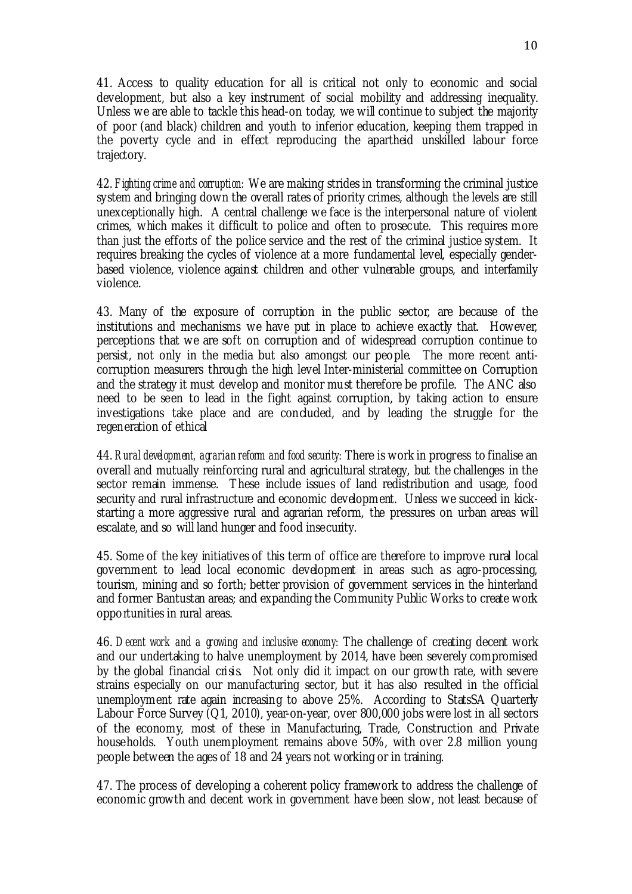41. Access to quality education for all is critical not only to economic and social development, but also a key instrument of social mobility and addressing inequality. Unless we are able to tackle this head-on today, we will continue to subject the majority of poor (and black) children and youth to inferior education, keeping them trapped in the poverty cycle and in effect reproducing the apartheid unskilled labour force trajectory.

42. *Fighting crime and corruption:* We are making strides in transforming the criminal justice system and bringing down the overall rates of priority crimes, although the levels are still unexceptionally high. A central challenge we face is the interpersonal nature of violent crimes, which makes it difficult to police and often to prosecute. This requires more than just the efforts of the police service and the rest of the criminal justice system. It requires breaking the cycles of violence at a more fundamental level, especially genderbased violence, violence against children and other vulnerable groups, and interfamily violence.

43. Many of the exposure of corruption in the public sector, are because of the institutions and mechanisms we have put in place to achieve exactly that. However, perceptions that we are soft on corruption and of widespread corruption continue to persist, not only in the media but also amongst our people. The more recent anticorruption measurers through the high level Inter-ministerial committee on Corruption and the strategy it must develop and monitor must therefore be profile. The ANC also need to be seen to lead in the fight against corruption, by taking action to ensure investigations take place and are concluded, and by leading the struggle for the regeneration of ethical

44. *Rural development, agrarian reform and food security:* There is work in progress to finalise an overall and mutually reinforcing rural and agricultural strategy, but the challenges in the sector remain immense. These include issues of land redistribution and usage, food security and rural infrastructure and economic development. Unless we succeed in kickstarting a more aggressive rural and agrarian reform, the pressures on urban areas will escalate, and so will land hunger and food insecurity.

45. Some of the key initiatives of this term of office are therefore to improve rural local government to lead local economic development in areas such as agro-processing, tourism, mining and so forth; better provision of government services in the hinterland and former Bantustan areas; and expanding the Community Public Works to create work opportunities in rural areas.

46. *Decent work and a growing and inclusive economy:* The challenge of creating decent work and our undertaking to halve unemployment by 2014, have been severely compromised by the global financial crisis. Not only did it impact on our growth rate, with severe strains especially on our manufacturing sector, but it has also resulted in the official unemployment rate again increasing to above 25%. According to StatsSA Quarterly Labour Force Survey  $\overline{Q}1$ , 2010), year-on-year, over 800,000 jobs were lost in all sectors of the economy, most of these in Manufacturing, Trade, Construction and Private households. Youth unemployment remains above 50%, with over 2.8 million young people between the ages of 18 and 24 years not working or in training.

47. The process of developing a coherent policy framework to address the challenge of economic growth and decent work in government have been slow, not least because of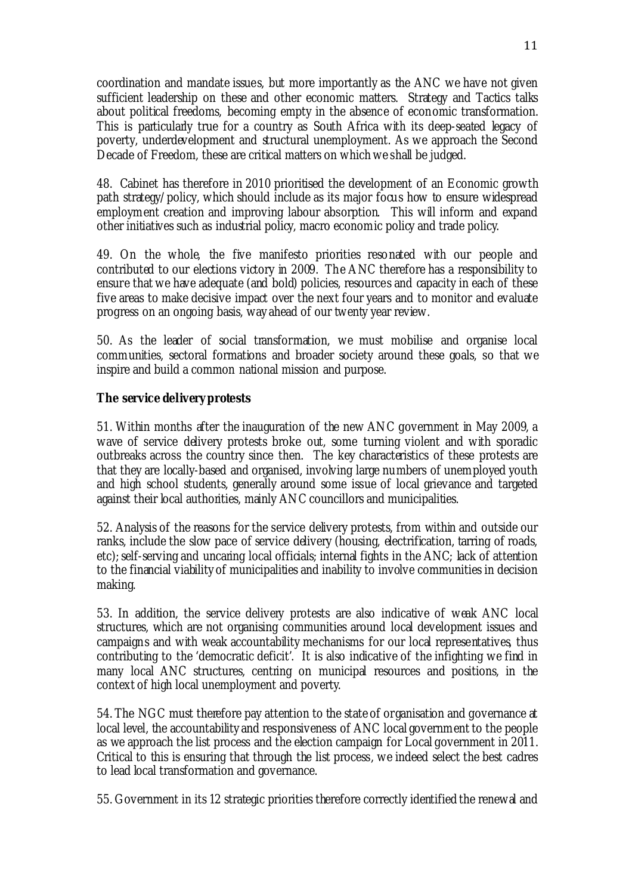coordination and mandate issues, but more importantly as the ANC we have not given sufficient leadership on these and other economic matters. Strategy and Tactics talks about political freedoms, becoming empty in the absence of economic transformation. This is particularly true for a country as South Africa with its deep-seated legacy of poverty, underdevelopment and structural unemployment. As we approach the Second Decade of Freedom, these are critical matters on which we shall be judged.

48. Cabinet has therefore in 2010 prioritised the development of an Economic growth path strategy/policy, which should include as its major focus how to ensure widespread employment creation and improving labour absorption. This will inform and expand other initiatives such as industrial policy, macro economic policy and trade policy.

49. On the whole, the five manifesto priorities resonated with our people and contributed to our elections victory in 2009. The ANC therefore has a responsibility to ensure that we have adequate (and bold) policies, resources and capacity in each of these five areas to make decisive impact over the next four years and to monitor and evaluate progress on an ongoing basis, way ahead of our twenty year review.

50. As the leader of social transformation, we must mobilise and organise local communities, sectoral formations and broader society around these goals, so that we inspire and build a common national mission and purpose.

#### **The service delivery protests**

51. Within months after the inauguration of the new ANC government in May 2009, a wave of service delivery protests broke out, some turning violent and with sporadic outbreaks across the country since then. The key characteristics of these protests are that they are locally-based and organised, involving large numbers of unemployed youth and high school students, generally around some issue of local grievance and targeted against their local authorities, mainly ANC councillors and municipalities.

52. Analysis of the reasons for the service delivery protests, from within and outside our ranks, include the slow pace of service delivery (housing, electrification, tarring of roads, etc); self-serving and uncaring local officials; internal fights in the ANC; lack of attention to the financial viability of municipalities and inability to involve communities in decision making.

53. In addition, the service delivery protests are also indicative of weak ANC local structures, which are not organising communities around local development issues and campaigns and with weak accountability mechanisms for our local representatives, thus contributing to the 'democratic deficit'. It is also indicative of the infighting we find in many local ANC structures, centring on municipal resources and positions, in the context of high local unemployment and poverty.

54. The NGC must therefore pay attention to the state of organisation and governance at local level, the accountability and responsiveness of ANC local government to the people as we approach the list process and the election campaign for Local government in 2011. Critical to this is ensuring that through the list process, we indeed select the best cadres to lead local transformation and governance.

55. Government in its 12 strategic priorities therefore correctly identified the renewal and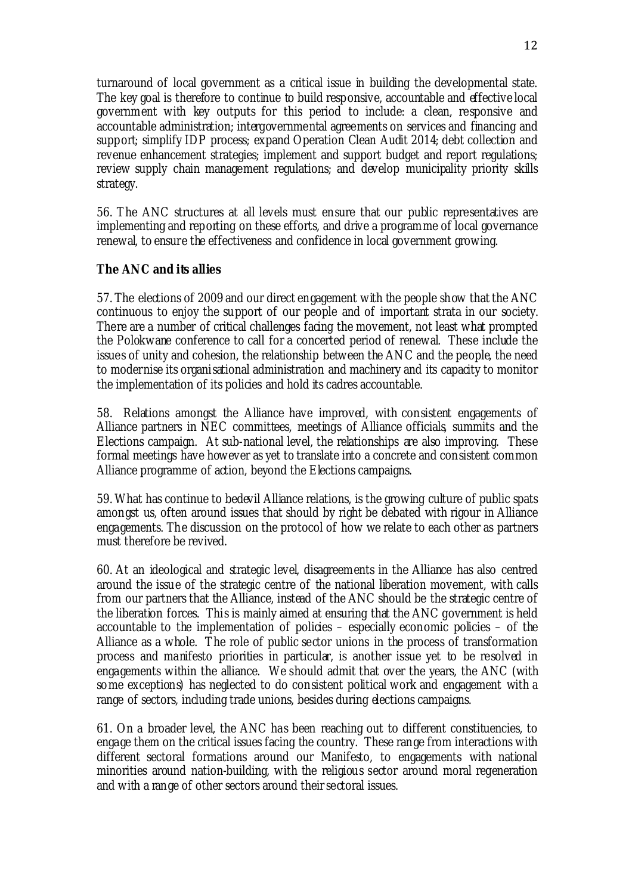turnaround of local government as a critical issue in building the developmental state. The key goal is therefore to continue to build responsive, accountable and effective local government with key outputs for this period to include: a clean, responsive and accountable administration; intergovernmental agreements on services and financing and support; simplify IDP process; expand Operation Clean Audit 2014; debt collection and revenue enhancement strategies; implement and support budget and report regulations; review supply chain management regulations; and develop municipality priority skills strategy.

56. The ANC structures at all levels must ensure that our public representatives are implementing and reporting on these efforts, and drive a programme of local governance renewal, to ensure the effectiveness and confidence in local government growing.

#### **The ANC and its allies**

57. The elections of 2009 and our direct engagement with the people show that the ANC continuous to enjoy the support of our people and of important strata in our society. There are a number of critical challenges facing the movement, not least what prompted the Polokwane conference to call for a concerted period of renewal. These include the issues of unity and cohesion, the relationship between the ANC and the people, the need to modernise its organisational administration and machinery and its capacity to monitor the implementation of its policies and hold its cadres accountable.

58. Relations amongst the Alliance have improved, with consistent engagements of Alliance partners in NEC committees, meetings of Alliance officials, summits and the Elections campaign. At sub-national level, the relationships are also improving. These formal meetings have however as yet to translate into a concrete and consistent common Alliance programme of action, beyond the Elections campaigns.

59. What has continue to bedevil Alliance relations, is the growing culture of public spats amongst us, often around issues that should by right be debated with rigour in Alliance engagements. The discussion on the protocol of how we relate to each other as partners must therefore be revived.

60. At an ideological and strategic level, disagreements in the Alliance has also centred around the issue of the strategic centre of the national liberation movement, with calls from our partners that the Alliance, instead of the ANC should be the strategic centre of the liberation forces. This is mainly aimed at ensuring that the ANC government is held accountable to the implementation of policies – especially economic policies – of the Alliance as a whole. The role of public sector unions in the process of transformation process and manifesto priorities in particular, is another issue yet to be resolved in engagements within the alliance. We should admit that over the years, the ANC (with some exceptions) has neglected to do consistent political work and engagement with a range of sectors, including trade unions, besides during elections campaigns.

61. On a broader level, the ANC has been reaching out to different constituencies, to engage them on the critical issues facing the country. These range from interactions with different sectoral formations around our Manifesto, to engagements with national minorities around nation-building, with the religious sector around moral regeneration and with a range of other sectors around their sectoral issues.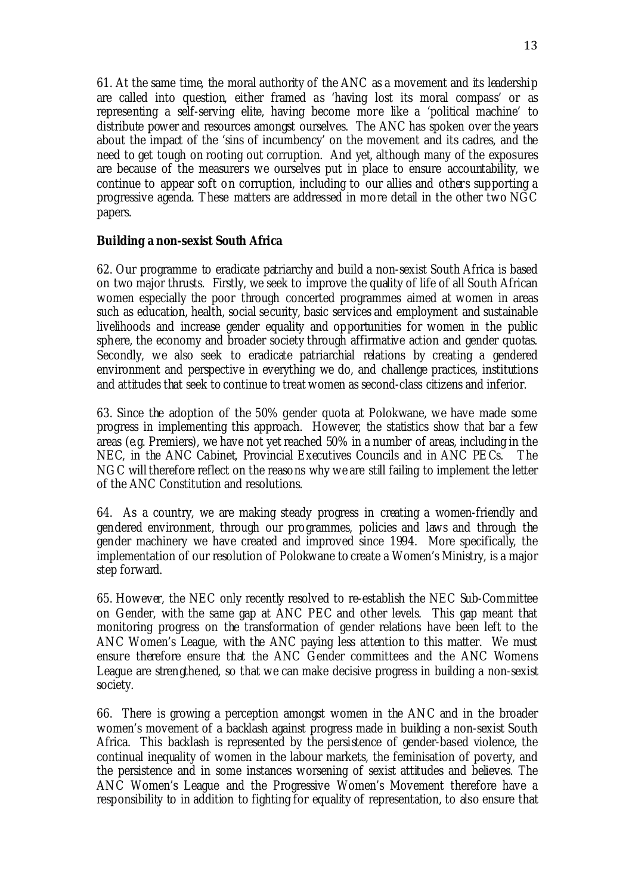61. At the same time, the moral authority of the ANC as a movement and its leadership are called into question, either framed as 'having lost its moral compass' or as representing a self-serving elite, having become more like a 'political machine' to distribute power and resources amongst ourselves. The ANC has spoken over the years about the impact of the 'sins of incumbency' on the movement and its cadres, and the need to get tough on rooting out corruption. And yet, although many of the exposures are because of the measurers we ourselves put in place to ensure accountability, we continue to appear soft on corruption, including to our allies and others supporting a progressive agenda. These matters are addressed in more detail in the other two NGC papers.

#### **Building a non-sexist South Africa**

62. Our programme to eradicate patriarchy and build a non-sexist South Africa is based on two major thrusts. Firstly, we seek to improve the quality of life of all South African women especially the poor through concerted programmes aimed at women in areas such as education, health, social security, basic services and employment and sustainable livelihoods and increase gender equality and opportunities for women in the public sphere, the economy and broader society through affirmative action and gender quotas. Secondly, we also seek to eradicate patriarchial relations by creating a gendered environment and perspective in everything we do, and challenge practices, institutions and attitudes that seek to continue to treat women as second-class citizens and inferior.

63. Since the adoption of the 50% gender quota at Polokwane, we have made some progress in implementing this approach. However, the statistics show that bar a few areas (e.g. Premiers), we have not yet reached 50% in a number of areas, including in the NEC, in the ANC Cabinet, Provincial Executives Councils and in ANC PECs. The NGC will therefore reflect on the reasons why we are still failing to implement the letter of the ANC Constitution and resolutions.

64. As a country, we are making steady progress in creating a women-friendly and gendered environment, through our programmes, policies and laws and through the gender machinery we have created and improved since 1994. More specifically, the implementation of our resolution of Polokwane to create a Women's Ministry, is a major step forward.

65. However, the NEC only recently resolved to re-establish the NEC Sub-Committee on Gender, with the same gap at ANC PEC and other levels. This gap meant that monitoring progress on the transformation of gender relations have been left to the ANC Women's League, with the ANC paying less attention to this matter. We must ensure therefore ensure that the ANC Gender committees and the ANC Womens League are strengthened, so that we can make decisive progress in building a non-sexist society.

66. There is growing a perception amongst women in the ANC and in the broader women's movement of a backlash against progress made in building a non-sexist South Africa. This backlash is represented by the persistence of gender-based violence, the continual inequality of women in the labour markets, the feminisation of poverty, and the persistence and in some instances worsening of sexist attitudes and believes. The ANC Women's League and the Progressive Women's Movement therefore have a responsibility to in addition to fighting for equality of representation, to also ensure that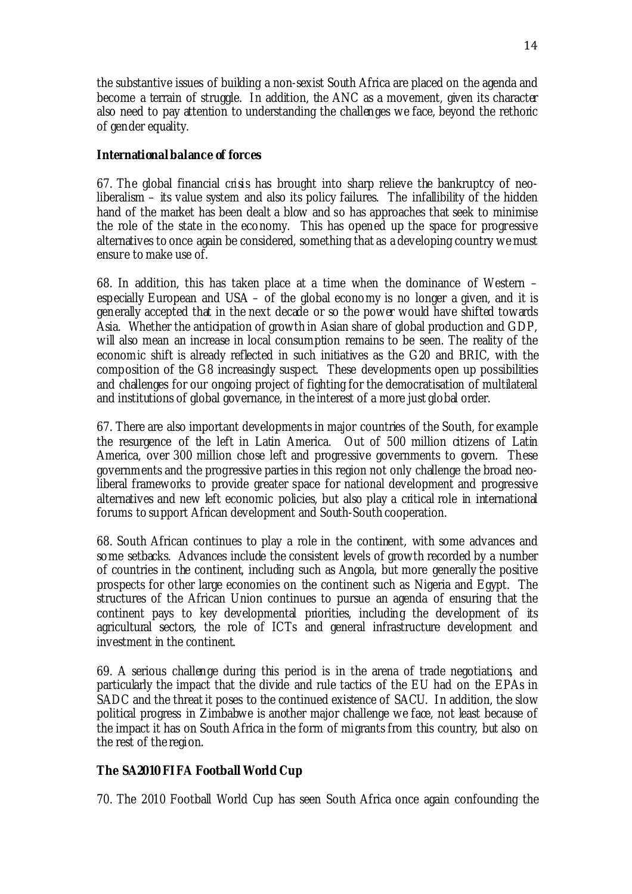the substantive issues of building a non-sexist South Africa are placed on the agenda and become a terrain of struggle. In addition, the ANC as a movement, given its character also need to pay attention to understanding the challenges we face, beyond the rethoric of gender equality.

### **International balance of forces**

67. The global financial crisis has brought into sharp relieve the bankruptcy of neoliberalism – its value system and also its policy failures. The infallibility of the hidden hand of the market has been dealt a blow and so has approaches that seek to minimise the role of the state in the economy. This has opened up the space for progressive alternatives to once again be considered, something that as a developing country we must ensure to make use of.

68. In addition, this has taken place at a time when the dominance of Western – especially European and USA – of the global economy is no longer a given, and it is generally accepted that in the next decade or so the power would have shifted towards Asia. Whether the anticipation of growth in Asian share of global production and GDP, will also mean an increase in local consumption remains to be seen. The reality of the economic shift is already reflected in such initiatives as the G20 and BRIC, with the composition of the G8 increasingly suspect. These developments open up possibilities and challenges for our ongoing project of fighting for the democratisation of multilateral and institutions of global governance, in the interest of a more just global order.

67. There are also important developments in major countries of the South, for example the resurgence of the left in Latin America. Out of 500 million citizens of Latin America, over 300 million chose left and progressive governments to govern. These governments and the progressive parties in this region not only challenge the broad neoliberal frameworks to provide greater space for national development and progressive alternatives and new left economic policies, but also play a critical role in international forums to support African development and South-South cooperation.

68. South African continues to play a role in the continent, with some advances and some setbacks. Advances include the consistent levels of growth recorded by a number of countries in the continent, including such as Angola, but more generally the positive prospects for other large economies on the continent such as Nigeria and Egypt. The structures of the African Union continues to pursue an agenda of ensuring that the continent pays to key developmental priorities, including the development of its agricultural sectors, the role of ICTs and general infrastructure development and investment in the continent.

69. A serious challenge during this period is in the arena of trade negotiations, and particularly the impact that the divide and rule tactics of the EU had on the EPAs in SADC and the threat it poses to the continued existence of SACU. In addition, the slow political progress in Zimbabwe is another major challenge we face, not least because of the impact it has on South Africa in the form of migrants from this country, but also on the rest of the region.

# **The SA2010 FIFA Football World Cup**

70. The 2010 Football World Cup has seen South Africa once again confounding the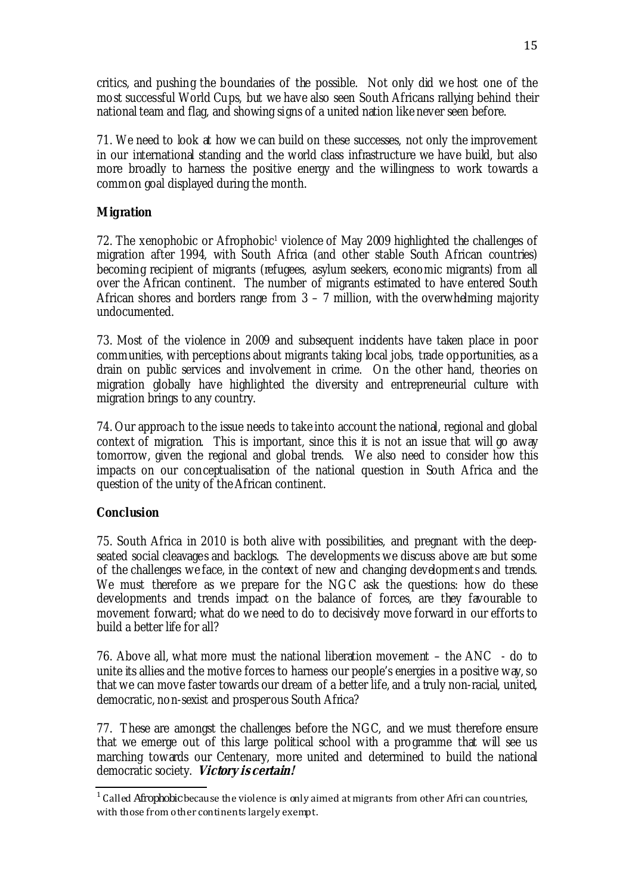critics, and pushing the boundaries of the possible. Not only did we host one of the most successful World Cups, but we have also seen South Africans rallying behind their national team and flag, and showing signs of a united nation like never seen before.

71. We need to look at how we can build on these successes, not only the improvement in our international standing and the world class infrastructure we have build, but also more broadly to harness the positive energy and the willingness to work towards a common goal displayed during the month.

## **Migration**

72. The xenophobic or Afrophobic<sup>1</sup> violence of May 2009 highlighted the challenges of migration after 1994, with South Africa (and other stable South African countries) becoming recipient of migrants (refugees, asylum seekers, economic migrants) from all over the African continent. The number of migrants estimated to have entered South African shores and borders range from  $3 - 7$  million, with the overwhelming majority undocumented.

73. Most of the violence in 2009 and subsequent incidents have taken place in poor communities, with perceptions about migrants taking local jobs, trade opportunities, as a drain on public services and involvement in crime. On the other hand, theories on migration globally have highlighted the diversity and entrepreneurial culture with migration brings to any country.

74. Our approach to the issue needs to take into account the national, regional and global context of migration. This is important, since this it is not an issue that will go away tomorrow, given the regional and global trends. We also need to consider how this impacts on our conceptualisation of the national question in South Africa and the question of the unity of the African continent.

#### **Conclusion**

75. South Africa in 2010 is both alive with possibilities, and pregnant with the deepseated social cleavages and backlogs. The developments we discuss above are but some of the challenges we face, in the context of new and changing development s and trends. We must therefore as we prepare for the NGC ask the questions: how do these developments and trends impact on the balance of forces, are they favourable to movement forward; what do we need to do to decisively move forward in our efforts to build a better life for all?

76. Above all, what more must the national liberation movement – the ANC - do to unite its allies and the motive forces to harness our people's energies in a positive way, so that we can move faster towards our dream of a better life, and a truly non-racial, united, democratic, non-sexist and prosperous South Africa?

77. These are amongst the challenges before the NGC, and we must therefore ensure that we emerge out of this large political school with a programme that will see us marching towards our Centenary, more united and determined to build the national democratic society. **Victory is certain!**

<sup>1</sup> Called *Afrophobic* because the violence is only aimed at migrants from other Afri can countries, with those from other continents largely exempt.